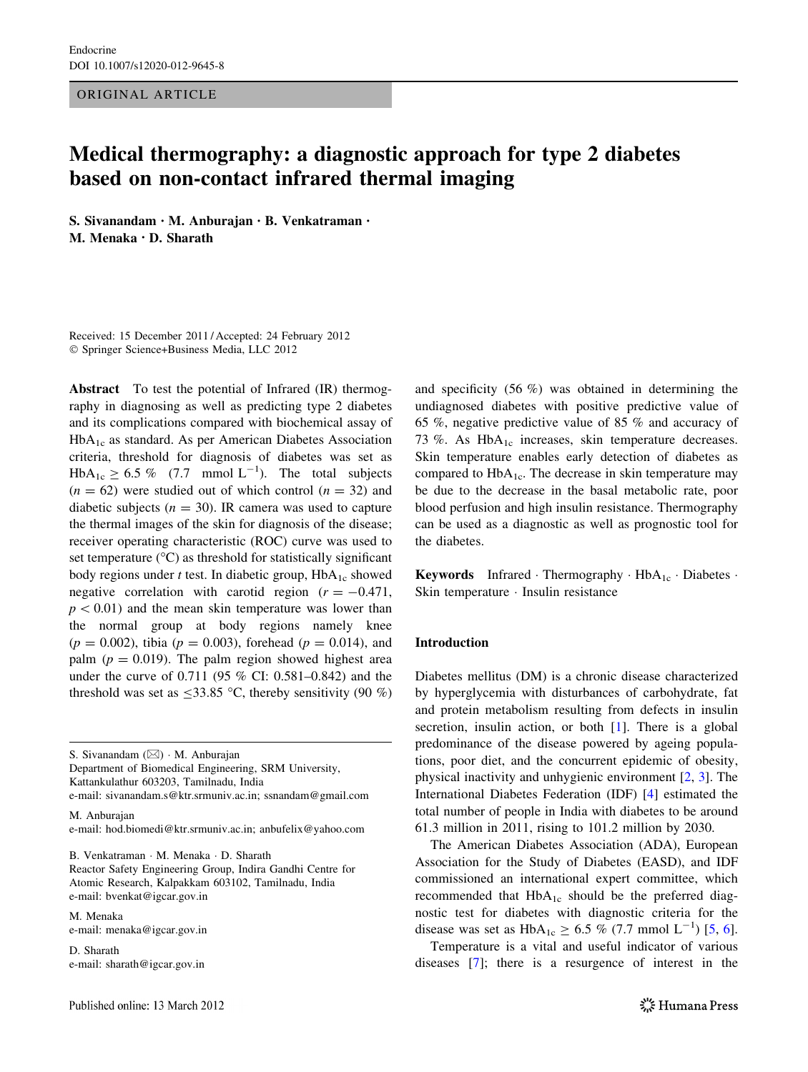ORIGINAL ARTICLE

# Medical thermography: a diagnostic approach for type 2 diabetes based on non-contact infrared thermal imaging

S. Sivanandam • M. Anburajan • B. Venkatraman • M. Menaka • D. Sharath

Received: 15 December 2011 / Accepted: 24 February 2012 - Springer Science+Business Media, LLC 2012

Abstract To test the potential of Infrared (IR) thermography in diagnosing as well as predicting type 2 diabetes and its complications compared with biochemical assay of HbA1c as standard. As per American Diabetes Association criteria, threshold for diagnosis of diabetes was set as  $HbA_{1c} \ge 6.5 \%$  (7.7 mmol L<sup>-1</sup>). The total subjects  $(n = 62)$  were studied out of which control  $(n = 32)$  and diabetic subjects ( $n = 30$ ). IR camera was used to capture the thermal images of the skin for diagnosis of the disease; receiver operating characteristic (ROC) curve was used to set temperature  $({}^{\circ}C)$  as threshold for statistically significant body regions under t test. In diabetic group,  $HbA_{1c}$  showed negative correlation with carotid region  $(r = -0.471)$ ,  $p<0.01$ ) and the mean skin temperature was lower than the normal group at body regions namely knee  $(p = 0.002)$ , tibia  $(p = 0.003)$ , forehead  $(p = 0.014)$ , and palm ( $p = 0.019$ ). The palm region showed highest area under the curve of 0.711 (95 % CI: 0.581–0.842) and the threshold was set as  $\leq$ 33.85 °C, thereby sensitivity (90 %)

S. Sivanandam (&) - M. Anburajan Department of Biomedical Engineering, SRM University, Kattankulathur 603203, Tamilnadu, India e-mail: sivanandam.s@ktr.srmuniv.ac.in; ssnandam@gmail.com

M. Anburajan

e-mail: hod.biomedi@ktr.srmuniv.ac.in; anbufelix@yahoo.com

B. Venkatraman - M. Menaka - D. Sharath Reactor Safety Engineering Group, Indira Gandhi Centre for Atomic Research, Kalpakkam 603102, Tamilnadu, India e-mail: bvenkat@igcar.gov.in

M. Menaka e-mail: menaka@igcar.gov.in

D. Sharath e-mail: sharath@igcar.gov.in and specificity (56 %) was obtained in determining the undiagnosed diabetes with positive predictive value of 65 %, negative predictive value of 85 % and accuracy of 73 %. As  $HbA_{1c}$  increases, skin temperature decreases. Skin temperature enables early detection of diabetes as compared to  $HbA_{1c}$ . The decrease in skin temperature may be due to the decrease in the basal metabolic rate, poor blood perfusion and high insulin resistance. Thermography can be used as a diagnostic as well as prognostic tool for the diabetes.

Keywords Infrared · Thermography · HbA<sub>1c</sub> · Diabetes · Skin temperature - Insulin resistance

## Introduction

Diabetes mellitus (DM) is a chronic disease characterized by hyperglycemia with disturbances of carbohydrate, fat and protein metabolism resulting from defects in insulin secretion, insulin action, or both [[1\]](#page-8-0). There is a global predominance of the disease powered by ageing populations, poor diet, and the concurrent epidemic of obesity, physical inactivity and unhygienic environment [[2,](#page-8-0) [3\]](#page-8-0). The International Diabetes Federation (IDF) [\[4](#page-8-0)] estimated the total number of people in India with diabetes to be around 61.3 million in 2011, rising to 101.2 million by 2030.

The American Diabetes Association (ADA), European Association for the Study of Diabetes (EASD), and IDF commissioned an international expert committee, which recommended that  $HbA_{1c}$  should be the preferred diagnostic test for diabetes with diagnostic criteria for the disease was set as  $HbA_{1c} \ge 6.5 \% (7.7 \text{ mmol L}^{-1})$  $HbA_{1c} \ge 6.5 \% (7.7 \text{ mmol L}^{-1})$  $HbA_{1c} \ge 6.5 \% (7.7 \text{ mmol L}^{-1})$  [[5,](#page-8-0) 6].

Temperature is a vital and useful indicator of various diseases [[7\]](#page-8-0); there is a resurgence of interest in the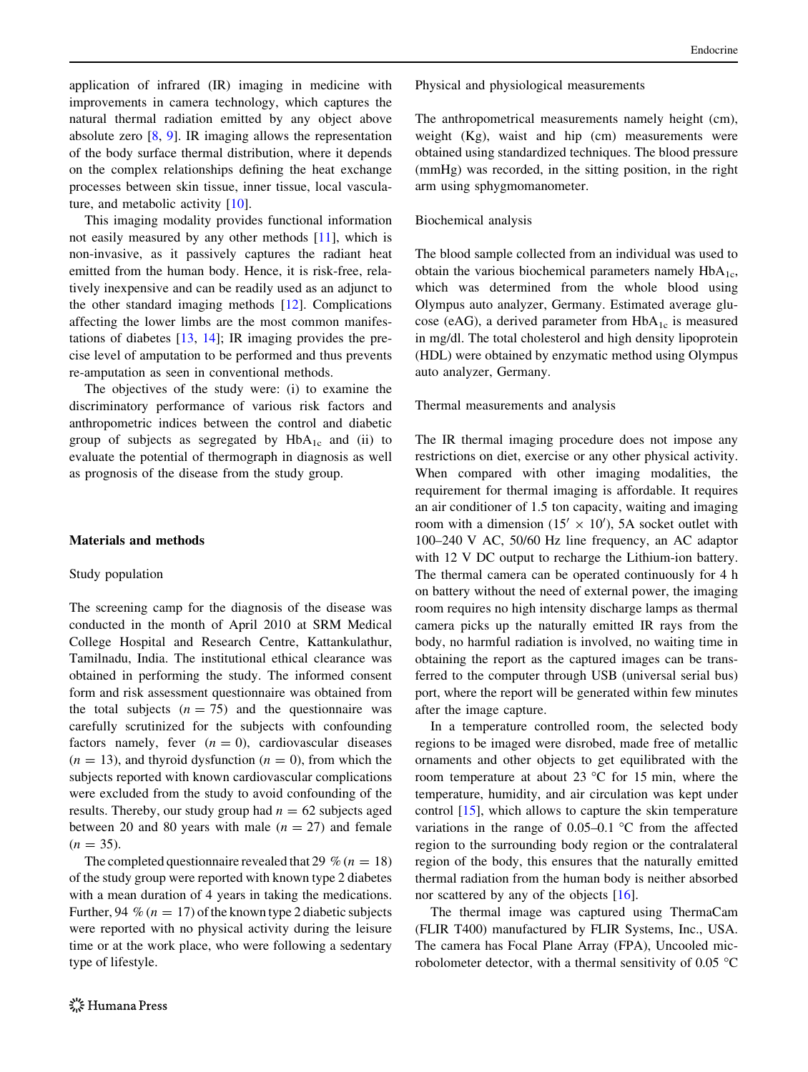application of infrared (IR) imaging in medicine with improvements in camera technology, which captures the natural thermal radiation emitted by any object above absolute zero [[8,](#page-8-0) [9\]](#page-8-0). IR imaging allows the representation of the body surface thermal distribution, where it depends on the complex relationships defining the heat exchange processes between skin tissue, inner tissue, local vasculature, and metabolic activity [[10\]](#page-8-0).

This imaging modality provides functional information not easily measured by any other methods [[11\]](#page-8-0), which is non-invasive, as it passively captures the radiant heat emitted from the human body. Hence, it is risk-free, relatively inexpensive and can be readily used as an adjunct to the other standard imaging methods [\[12](#page-8-0)]. Complications affecting the lower limbs are the most common manifestations of diabetes [\[13](#page-8-0), [14](#page-8-0)]; IR imaging provides the precise level of amputation to be performed and thus prevents re-amputation as seen in conventional methods.

The objectives of the study were: (i) to examine the discriminatory performance of various risk factors and anthropometric indices between the control and diabetic group of subjects as segregated by  $HbA_{1c}$  and (ii) to evaluate the potential of thermograph in diagnosis as well as prognosis of the disease from the study group.

## Materials and methods

#### Study population

The screening camp for the diagnosis of the disease was conducted in the month of April 2010 at SRM Medical College Hospital and Research Centre, Kattankulathur, Tamilnadu, India. The institutional ethical clearance was obtained in performing the study. The informed consent form and risk assessment questionnaire was obtained from the total subjects  $(n = 75)$  and the questionnaire was carefully scrutinized for the subjects with confounding factors namely, fever  $(n = 0)$ , cardiovascular diseases  $(n = 13)$ , and thyroid dysfunction  $(n = 0)$ , from which the subjects reported with known cardiovascular complications were excluded from the study to avoid confounding of the results. Thereby, our study group had  $n = 62$  subjects aged between 20 and 80 years with male  $(n = 27)$  and female  $(n = 35)$ .

The completed questionnaire revealed that 29 % ( $n = 18$ ) of the study group were reported with known type 2 diabetes with a mean duration of 4 years in taking the medications. Further, 94 % ( $n = 17$ ) of the known type 2 diabetic subjects were reported with no physical activity during the leisure time or at the work place, who were following a sedentary type of lifestyle.

Physical and physiological measurements

The anthropometrical measurements namely height (cm), weight (Kg), waist and hip (cm) measurements were obtained using standardized techniques. The blood pressure (mmHg) was recorded, in the sitting position, in the right arm using sphygmomanometer.

#### Biochemical analysis

The blood sample collected from an individual was used to obtain the various biochemical parameters namely  $HbA_{1c}$ , which was determined from the whole blood using Olympus auto analyzer, Germany. Estimated average glucose (eAG), a derived parameter from  $HbA_{1c}$  is measured in mg/dl. The total cholesterol and high density lipoprotein (HDL) were obtained by enzymatic method using Olympus auto analyzer, Germany.

Thermal measurements and analysis

The IR thermal imaging procedure does not impose any restrictions on diet, exercise or any other physical activity. When compared with other imaging modalities, the requirement for thermal imaging is affordable. It requires an air conditioner of 1.5 ton capacity, waiting and imaging room with a dimension  $(15' \times 10')$ , 5A socket outlet with 100–240 V AC, 50/60 Hz line frequency, an AC adaptor with 12 V DC output to recharge the Lithium-ion battery. The thermal camera can be operated continuously for 4 h on battery without the need of external power, the imaging room requires no high intensity discharge lamps as thermal camera picks up the naturally emitted IR rays from the body, no harmful radiation is involved, no waiting time in obtaining the report as the captured images can be transferred to the computer through USB (universal serial bus) port, where the report will be generated within few minutes after the image capture.

In a temperature controlled room, the selected body regions to be imaged were disrobed, made free of metallic ornaments and other objects to get equilibrated with the room temperature at about 23  $^{\circ}$ C for 15 min, where the temperature, humidity, and air circulation was kept under control [\[15](#page-8-0)], which allows to capture the skin temperature variations in the range of  $0.05-0.1$  °C from the affected region to the surrounding body region or the contralateral region of the body, this ensures that the naturally emitted thermal radiation from the human body is neither absorbed nor scattered by any of the objects [\[16](#page-8-0)].

The thermal image was captured using ThermaCam (FLIR T400) manufactured by FLIR Systems, Inc., USA. The camera has Focal Plane Array (FPA), Uncooled microbolometer detector, with a thermal sensitivity of 0.05  $\degree$ C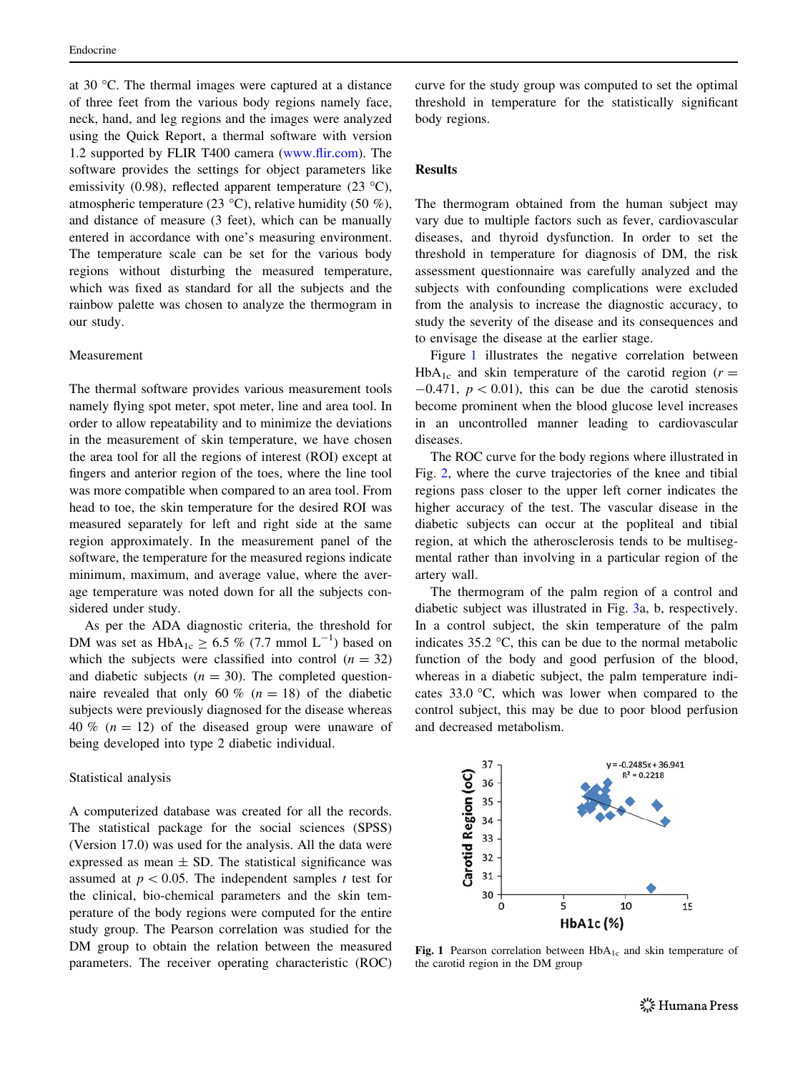at  $30^{\circ}$ C. The thermal images were captured at a distance of three feet from the various body regions namely face, neck, hand, and leg regions and the images were analyzed using the Quick Report, a thermal software with version 1.2 supported by FLIR T400 camera ([www.flir.com](http://www.flir.com)). The software provides the settings for object parameters like emissivity (0.98), reflected apparent temperature (23  $^{\circ}$ C), atmospheric temperature (23 °C), relative humidity (50 %), and distance of measure (3 feet), which can be manually entered in accordance with one's measuring environment. The temperature scale can be set for the various body regions without disturbing the measured temperature, which was fixed as standard for all the subjects and the rainbow palette was chosen to analyze the thermogram in our study.

## Measurement

The thermal software provides various measurement tools namely flying spot meter, spot meter, line and area tool. In order to allow repeatability and to minimize the deviations in the measurement of skin temperature, we have chosen the area tool for all the regions of interest (ROI) except at fingers and anterior region of the toes, where the line tool was more compatible when compared to an area tool. From head to toe, the skin temperature for the desired ROI was measured separately for left and right side at the same region approximately. In the measurement panel of the software, the temperature for the measured regions indicate minimum, maximum, and average value, where the average temperature was noted down for all the subjects considered under study.

As per the ADA diagnostic criteria, the threshold for DM was set as  $HbA_{1c} \geq 6.5 \%$  (7.7 mmol L<sup>-1</sup>) based on which the subjects were classified into control  $(n = 32)$ and diabetic subjects ( $n = 30$ ). The completed questionnaire revealed that only 60 % ( $n = 18$ ) of the diabetic subjects were previously diagnosed for the disease whereas 40 %  $(n = 12)$  of the diseased group were unaware of being developed into type 2 diabetic individual.

#### Statistical analysis

A computerized database was created for all the records. The statistical package for the social sciences (SPSS) (Version 17.0) was used for the analysis. All the data were expressed as mean  $\pm$  SD. The statistical significance was assumed at  $p < 0.05$ . The independent samples t test for the clinical, bio-chemical parameters and the skin temperature of the body regions were computed for the entire study group. The Pearson correlation was studied for the DM group to obtain the relation between the measured parameters. The receiver operating characteristic (ROC) curve for the study group was computed to set the optimal threshold in temperature for the statistically significant body regions.

# Results

The thermogram obtained from the human subject may vary due to multiple factors such as fever, cardiovascular diseases, and thyroid dysfunction. In order to set the threshold in temperature for diagnosis of DM, the risk assessment questionnaire was carefully analyzed and the subjects with confounding complications were excluded from the analysis to increase the diagnostic accuracy, to study the severity of the disease and its consequences and to envisage the disease at the earlier stage.

Figure 1 illustrates the negative correlation between  $HbA_{1c}$  and skin temperature of the carotid region ( $r =$  $-0.471$ ,  $p < 0.01$ ), this can be due the carotid stenosis become prominent when the blood glucose level increases in an uncontrolled manner leading to cardiovascular diseases.

The ROC curve for the body regions where illustrated in Fig. [2](#page-3-0), where the curve trajectories of the knee and tibial regions pass closer to the upper left corner indicates the higher accuracy of the test. The vascular disease in the diabetic subjects can occur at the popliteal and tibial region, at which the atherosclerosis tends to be multisegmental rather than involving in a particular region of the artery wall.

The thermogram of the palm region of a control and diabetic subject was illustrated in Fig. [3a](#page-3-0), b, respectively. In a control subject, the skin temperature of the palm indicates  $35.2 \text{ °C}$ , this can be due to the normal metabolic function of the body and good perfusion of the blood, whereas in a diabetic subject, the palm temperature indicates  $33.0 \text{ °C}$ , which was lower when compared to the control subject, this may be due to poor blood perfusion and decreased metabolism.



Fig. 1 Pearson correlation between  $HbA_{1c}$  and skin temperature of the carotid region in the DM group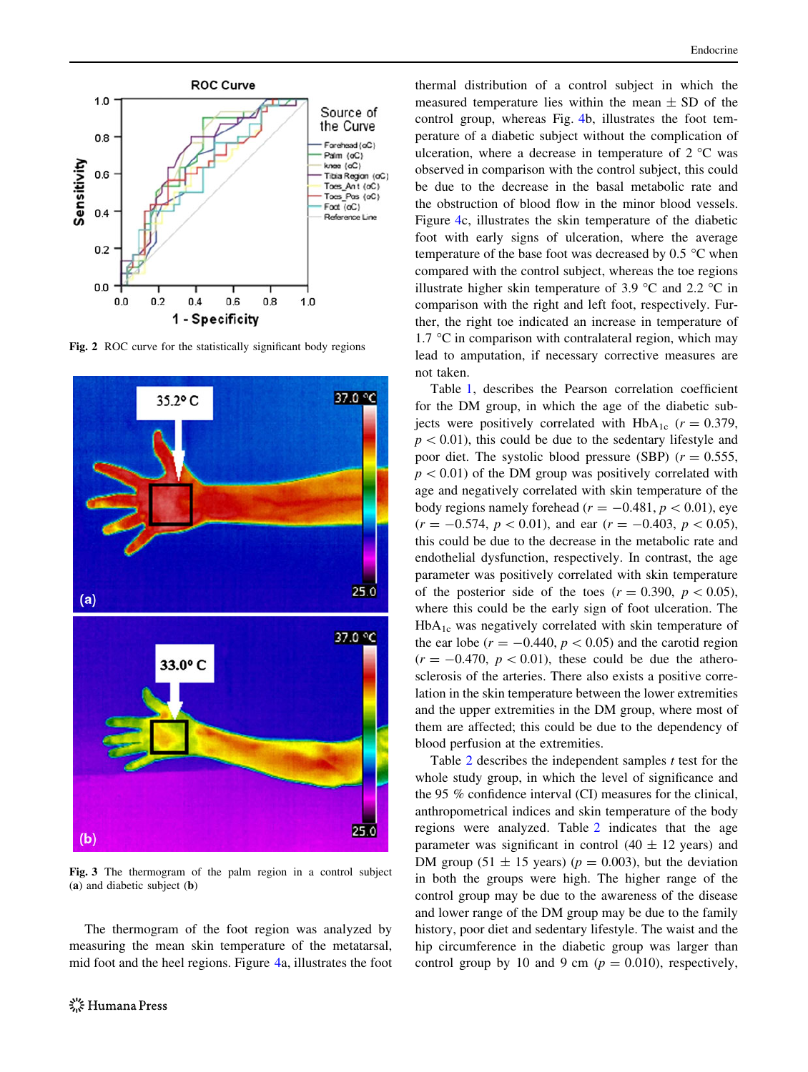<span id="page-3-0"></span>

Fig. 2 ROC curve for the statistically significant body regions



Fig. 3 The thermogram of the palm region in a control subject (a) and diabetic subject (b)

The thermogram of the foot region was analyzed by measuring the mean skin temperature of the metatarsal, mid foot and the heel regions. Figure [4](#page-4-0)a, illustrates the foot

thermal distribution of a control subject in which the measured temperature lies within the mean  $\pm$  SD of the control group, whereas Fig. [4b](#page-4-0), illustrates the foot temperature of a diabetic subject without the complication of ulceration, where a decrease in temperature of  $2^{\circ}$ C was observed in comparison with the control subject, this could be due to the decrease in the basal metabolic rate and the obstruction of blood flow in the minor blood vessels. Figure [4](#page-4-0)c, illustrates the skin temperature of the diabetic foot with early signs of ulceration, where the average temperature of the base foot was decreased by  $0.5^{\circ}$ C when compared with the control subject, whereas the toe regions illustrate higher skin temperature of 3.9  $\degree$ C and 2.2  $\degree$ C in comparison with the right and left foot, respectively. Further, the right toe indicated an increase in temperature of 1.7  $\degree$ C in comparison with contralateral region, which may lead to amputation, if necessary corrective measures are not taken.

Table [1,](#page-5-0) describes the Pearson correlation coefficient for the DM group, in which the age of the diabetic subjects were positively correlated with  $HbA_{1c}$  ( $r = 0.379$ ,  $p\lt 0.01$ , this could be due to the sedentary lifestyle and poor diet. The systolic blood pressure (SBP)  $(r = 0.555,$  $p<0.01$ ) of the DM group was positively correlated with age and negatively correlated with skin temperature of the body regions namely forehead ( $r = -0.481, p \lt 0.01$ ), eye  $(r = -0.574, p < 0.01)$ , and ear  $(r = -0.403, p < 0.05)$ , this could be due to the decrease in the metabolic rate and endothelial dysfunction, respectively. In contrast, the age parameter was positively correlated with skin temperature of the posterior side of the toes  $(r = 0.390, p < 0.05)$ , where this could be the early sign of foot ulceration. The  $HbA_{1c}$  was negatively correlated with skin temperature of the ear lobe ( $r = -0.440$ ,  $p < 0.05$ ) and the carotid region  $(r = -0.470, p < 0.01)$ , these could be due the atherosclerosis of the arteries. There also exists a positive correlation in the skin temperature between the lower extremities and the upper extremities in the DM group, where most of them are affected; this could be due to the dependency of blood perfusion at the extremities.

Table  $2$  describes the independent samples  $t$  test for the whole study group, in which the level of significance and the 95 % confidence interval (CI) measures for the clinical, anthropometrical indices and skin temperature of the body regions were analyzed. Table [2](#page-6-0) indicates that the age parameter was significant in control  $(40 \pm 12 \text{ years})$  and DM group (51  $\pm$  15 years) ( $p = 0.003$ ), but the deviation in both the groups were high. The higher range of the control group may be due to the awareness of the disease and lower range of the DM group may be due to the family history, poor diet and sedentary lifestyle. The waist and the hip circumference in the diabetic group was larger than control group by 10 and 9 cm ( $p = 0.010$ ), respectively,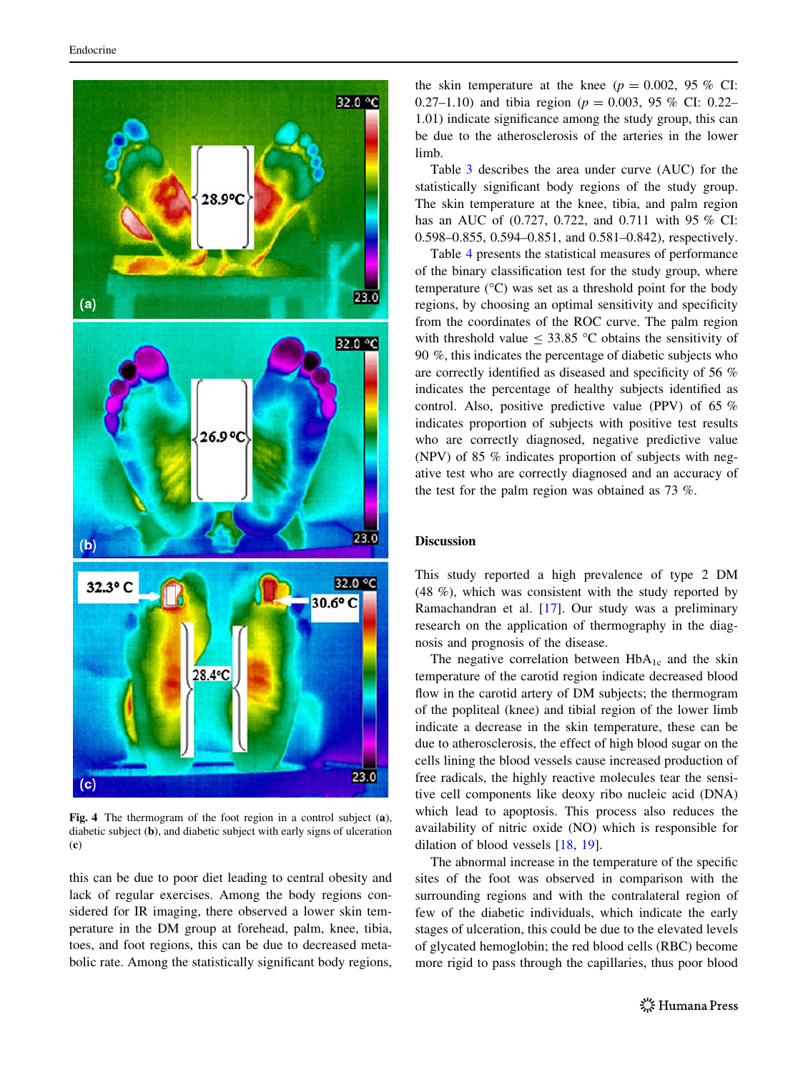<span id="page-4-0"></span>

Fig. 4 The thermogram of the foot region in a control subject (a), diabetic subject (b), and diabetic subject with early signs of ulceration (c)

this can be due to poor diet leading to central obesity and lack of regular exercises. Among the body regions considered for IR imaging, there observed a lower skin temperature in the DM group at forehead, palm, knee, tibia, toes, and foot regions, this can be due to decreased metabolic rate. Among the statistically significant body regions,

the skin temperature at the knee ( $p = 0.002$ , 95 % CI: 0.27–1.10) and tibia region ( $p = 0.003$ , 95 % CI: 0.22– 1.01) indicate significance among the study group, this can be due to the atherosclerosis of the arteries in the lower limb.

Table [3](#page-7-0) describes the area under curve (AUC) for the statistically significant body regions of the study group. The skin temperature at the knee, tibia, and palm region has an AUC of (0.727, 0.722, and 0.711 with 95 % CI: 0.598–0.855, 0.594–0.851, and 0.581–0.842), respectively.

Table [4](#page-7-0) presents the statistical measures of performance of the binary classification test for the study group, where temperature  $(^{\circ}C)$  was set as a threshold point for the body regions, by choosing an optimal sensitivity and specificity from the coordinates of the ROC curve. The palm region with threshold value  $\leq$  33.85 °C obtains the sensitivity of 90 %, this indicates the percentage of diabetic subjects who are correctly identified as diseased and specificity of 56 % indicates the percentage of healthy subjects identified as control. Also, positive predictive value (PPV) of 65 % indicates proportion of subjects with positive test results who are correctly diagnosed, negative predictive value (NPV) of 85 % indicates proportion of subjects with negative test who are correctly diagnosed and an accuracy of the test for the palm region was obtained as 73 %.

# **Discussion**

This study reported a high prevalence of type 2 DM (48 %), which was consistent with the study reported by Ramachandran et al. [[17\]](#page-8-0). Our study was a preliminary research on the application of thermography in the diagnosis and prognosis of the disease.

The negative correlation between  $HbA_{1c}$  and the skin temperature of the carotid region indicate decreased blood flow in the carotid artery of DM subjects; the thermogram of the popliteal (knee) and tibial region of the lower limb indicate a decrease in the skin temperature, these can be due to atherosclerosis, the effect of high blood sugar on the cells lining the blood vessels cause increased production of free radicals, the highly reactive molecules tear the sensitive cell components like deoxy ribo nucleic acid (DNA) which lead to apoptosis. This process also reduces the availability of nitric oxide (NO) which is responsible for dilation of blood vessels [[18,](#page-8-0) [19\]](#page-8-0).

The abnormal increase in the temperature of the specific sites of the foot was observed in comparison with the surrounding regions and with the contralateral region of few of the diabetic individuals, which indicate the early stages of ulceration, this could be due to the elevated levels of glycated hemoglobin; the red blood cells (RBC) become more rigid to pass through the capillaries, thus poor blood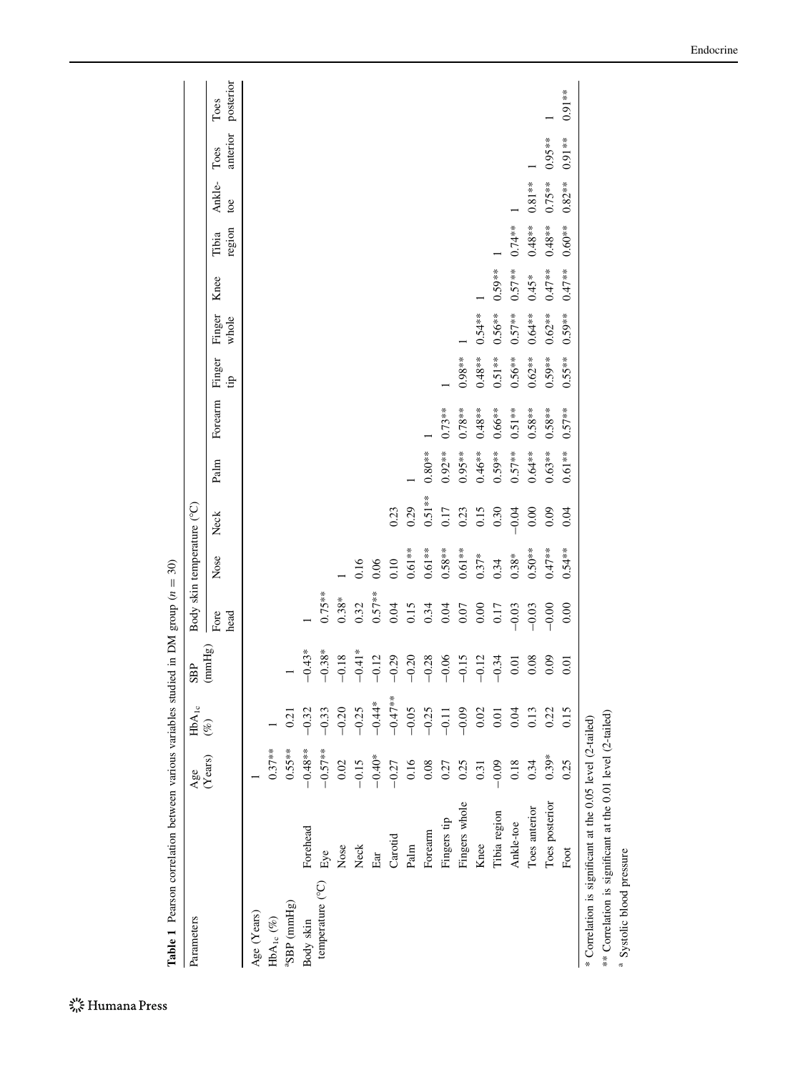<span id="page-5-0"></span>

| Parameters                                                 |                | Age       | $\text{HbA}_{1c}$ | SBP      |              | Body skin temperature (°C) |           |           |           |             |                 |          |                 |               |                  |                   |
|------------------------------------------------------------|----------------|-----------|-------------------|----------|--------------|----------------------------|-----------|-----------|-----------|-------------|-----------------|----------|-----------------|---------------|------------------|-------------------|
|                                                            |                | (Years)   | $(\%)$            | (mmHg)   | head<br>Fore | Nose                       | Neck      | Palm      | Forearm   | Finger<br>щ | Finger<br>whole | Knee     | region<br>Tibia | Ankle-<br>toe | anterior<br>Toes | posterior<br>Toes |
| Age (Years)                                                |                |           |                   |          |              |                            |           |           |           |             |                 |          |                 |               |                  |                   |
| $HbA_{1c}$ (%)                                             |                | $0.37***$ |                   |          |              |                            |           |           |           |             |                 |          |                 |               |                  |                   |
| $(3BP \text{ (mmHg)})$                                     |                | $0.55***$ | 0.21              |          |              |                            |           |           |           |             |                 |          |                 |               |                  |                   |
| Body skin                                                  | Forehead       | $-0.48**$ | $-0.32$           | $-0.43*$ |              |                            |           |           |           |             |                 |          |                 |               |                  |                   |
| temperature (°C)                                           | Eye            | $-0.57**$ | $-0.33$           | $-0.38*$ | $0.75***$    |                            |           |           |           |             |                 |          |                 |               |                  |                   |
|                                                            | Nose           | 0.02      | $-0.20$           | $-0.18$  | $0.38*$      |                            |           |           |           |             |                 |          |                 |               |                  |                   |
|                                                            | Neck           | $-0.15$   | $-0.25$           | $-0.41*$ | 0.32         | 0.16                       |           |           |           |             |                 |          |                 |               |                  |                   |
|                                                            | Ear            | $-0.40*$  | $-0.44*$          | $-0.12$  | $0.57**$     | 0.06                       |           |           |           |             |                 |          |                 |               |                  |                   |
|                                                            | Carotid        | $-0.27$   | $-0.47**$         | $-0.29$  | 0.04         | 0.10                       | 0.23      |           |           |             |                 |          |                 |               |                  |                   |
|                                                            | Palm           | 0.16      | $-0.05$           | $-0.20$  | 0.15         | $0.61***$                  | 0.29      |           |           |             |                 |          |                 |               |                  |                   |
|                                                            | Forearm        | $0.08\,$  | $-0.25$           | $-0.28$  | 0.34         | $0.61**$                   | $0.51***$ | $0.80**$  |           |             |                 |          |                 |               |                  |                   |
|                                                            | Fingers tip    | 0.27      | $-0.11$           | $-0.06$  | 0.04         | $0.58**$                   | 0.17      | $0.92***$ | $0.73**$  |             |                 |          |                 |               |                  |                   |
|                                                            | Fingers whole  | 0.25      | $-0.09$           | $-0.15$  | 0.07         | $0.61***$                  | 0.23      | $0.95***$ | $0.78***$ | $0.98***$   |                 |          |                 |               |                  |                   |
|                                                            | Knee           | 0.31      | 0.02              | $-0.12$  | 0.00         | $0.37*$                    | 0.15      | $0.46***$ | $0.48***$ | $0.48***$   | $0.54***$       |          |                 |               |                  |                   |
|                                                            | Tibia region   | $-0.09$   | 0.01              | $-0.34$  | 0.17         | 0.34                       | 0.30      | $0.59**$  | $0.66***$ | $0.51**$    | $0.56**$        | $0.59**$ |                 |               |                  |                   |
|                                                            | Ankle-toe      | 0.18      | 0.04              | 0.01     | $-0.03$      | $0.38*$                    | $-0.04$   | $0.57***$ | $0.51**$  | $0.56***$   | $0.57**$        | $0.57**$ | $0.74***$       |               |                  |                   |
|                                                            | Toes anterior  | 0.34      | 0.13              | $0.08\,$ | $-0.03$      | $0.50**$                   | 0.00      | $0.64***$ | $0.58***$ | $0.62***$   | $0.64**$        | $0.45*$  | $0.48***$       | $0.81**$      |                  |                   |
|                                                            | Toes posterior | $0.39*$   | 0.22              | 0.09     | $-0.00$      | $0.47**$                   | 0.09      | $0.63***$ | $0.58**$  | $0.59***$   | $0.62***$       | $0.47**$ | $0.48***$       | $0.75**$      | $0.95***$        |                   |
|                                                            | Foot           | 0.25      | 0.15              | 0.01     | 0.00         | $0.54**$                   | 0.04      | $0.61***$ | $0.57**$  | $0.55**$    | $0.59**$        | $0.47**$ | $0.60**$        | $0.82**$      | $0.91***$        | $0.91**$          |
| * Correlation is significant at the 0.05 level (2-tailed)  |                |           |                   |          |              |                            |           |           |           |             |                 |          |                 |               |                  |                   |
| ** Correlation is significant at the 0.01 level (2-tailed) |                |           |                   |          |              |                            |           |           |           |             |                 |          |                 |               |                  |                   |
| <sup>a</sup> Systolic blood pressure                       |                |           |                   |          |              |                            |           |           |           |             |                 |          |                 |               |                  |                   |

sue Humana Press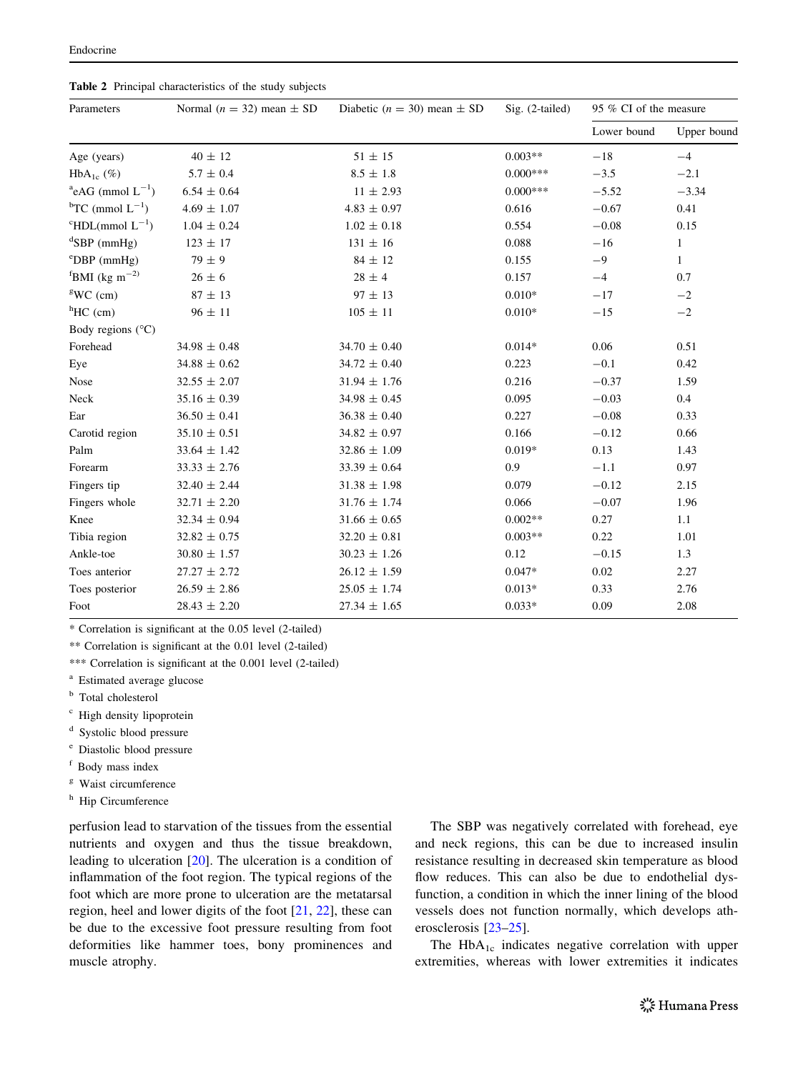<span id="page-6-0"></span>

|  |  | Table 2 Principal characteristics of the study subjects |  |  |  |
|--|--|---------------------------------------------------------|--|--|--|
|--|--|---------------------------------------------------------|--|--|--|

| Parameters                               | Normal ( $n = 32$ ) mean $\pm$ SD | Diabetic ( $n = 30$ ) mean $\pm$ SD | Sig. (2-tailed) | 95 % CI of the measure |              |
|------------------------------------------|-----------------------------------|-------------------------------------|-----------------|------------------------|--------------|
|                                          |                                   |                                     |                 | Lower bound            | Upper bound  |
| Age (years)                              | $40 \pm 12$                       | $51 \pm 15$                         | $0.003**$       | $-18$                  | $-4$         |
| $HbA_{1c}$ (%)                           | $5.7 \pm 0.4$                     | $8.5 \pm 1.8$                       | $0.000***$      | $-3.5$                 | $-2.1$       |
| <sup>a</sup> eAG (mmol $L^{-1}$ )        | $6.54 \pm 0.64$                   | $11 \pm 2.93$                       | $0.000***$      | $-5.52$                | $-3.34$      |
| <sup>b</sup> TC (mmol $L^{-1}$ )         | $4.69 \pm 1.07$                   | $4.83 \pm 0.97$                     | 0.616           | $-0.67$                | 0.41         |
| $\mathrm{CDL}(mmol \mathrm{L}^{-1})$     | $1.04 \pm 0.24$                   | $1.02 \pm 0.18$                     | 0.554           | $-0.08$                | 0.15         |
| ${}^{\text{d}}$ SBP (mmHg)               | $123 \pm 17$                      | $131\,\pm\,16$                      | 0.088           | $-16$                  | $\mathbf{1}$ |
| $^{\circ}$ DBP (mmHg)                    | $79 \pm 9$                        | $84 \pm 12$                         | 0.155           | $-9$                   | $\mathbf{1}$ |
| ${}^{\text{f}}$ BMI (kg m <sup>-2)</sup> | $26 \pm 6$                        | $28 \pm 4$                          | 0.157           | $-4$                   | 0.7          |
| $W^{\text{g}}$ WC (cm)                   | $87 \pm 13$                       | $97 \pm 13$                         | $0.010*$        | $-17$                  | $-2$         |
| ${}^{\mathrm{h}}$ HC (cm)                | $96 \pm 11$                       | $105 \pm 11$                        | $0.010*$        | $-15$                  | $-2$         |
| Body regions (°C)                        |                                   |                                     |                 |                        |              |
| Forehead                                 | $34.98\,\pm\,0.48$                | $34.70 \pm 0.40$                    | $0.014*$        | 0.06                   | 0.51         |
| Eye                                      | $34.88 \pm 0.62$                  | 34.72 $\pm$ 0.40                    | 0.223           | $-0.1$                 | 0.42         |
| Nose                                     | $32.55 \pm 2.07$                  | $31.94 \pm 1.76$                    | 0.216           | $-0.37$                | 1.59         |
| Neck                                     | $35.16 \pm 0.39$                  | $34.98 \pm 0.45$                    | 0.095           | $-0.03$                | 0.4          |
| Ear                                      | $36.50 \pm 0.41$                  | $36.38\,\pm\,0.40$                  | 0.227           | $-0.08$                | 0.33         |
| Carotid region                           | $35.10 \pm 0.51$                  | $34.82 \pm 0.97$                    | 0.166           | $-0.12$                | 0.66         |
| Palm                                     | $33.64 \pm 1.42$                  | $32.86 \pm 1.09$                    | $0.019*$        | 0.13                   | 1.43         |
| Forearm                                  | $33.33 \pm 2.76$                  | 33.39 $\pm$ 0.64                    | 0.9             | $-1.1$                 | 0.97         |
| Fingers tip                              | $32.40 \pm 2.44$                  | $31.38 \pm 1.98$                    | 0.079           | $-0.12$                | 2.15         |
| Fingers whole                            | $32.71 \pm 2.20$                  | $31.76 \pm 1.74$                    | 0.066           | $-0.07$                | 1.96         |
| Knee                                     | $32.34 \pm 0.94$                  | $31.66 \pm 0.65$                    | $0.002**$       | 0.27                   | 1.1          |
| Tibia region                             | $32.82 \pm 0.75$                  | $32.20 \pm 0.81$                    | $0.003**$       | 0.22                   | 1.01         |
| Ankle-toe                                | $30.80\,\pm\,1.57$                | $30.23 \pm 1.26$                    | 0.12            | $-0.15$                | 1.3          |
| Toes anterior                            | $27.27\,\pm\,2.72$                | $26.12 \pm 1.59$                    | $0.047*$        | 0.02                   | 2.27         |
| Toes posterior                           | $26.59 \pm 2.86$                  | $25.05 \pm 1.74$                    | $0.013*$        | 0.33                   | 2.76         |
| Foot                                     | $28.43 \pm 2.20$                  | $27.34 \pm 1.65$                    | $0.033*$        | 0.09                   | 2.08         |

\* Correlation is significant at the 0.05 level (2-tailed)

\*\* Correlation is significant at the 0.01 level (2-tailed)

\*\*\* Correlation is significant at the 0.001 level (2-tailed)

<sup>a</sup> Estimated average glucose

**b** Total cholesterol

<sup>c</sup> High density lipoprotein

- <sup>d</sup> Systolic blood pressure
- <sup>e</sup> Diastolic blood pressure
- <sup>f</sup> Body mass index
- <sup>g</sup> Waist circumference
- h Hip Circumference

perfusion lead to starvation of the tissues from the essential nutrients and oxygen and thus the tissue breakdown, leading to ulceration [\[20](#page-8-0)]. The ulceration is a condition of inflammation of the foot region. The typical regions of the foot which are more prone to ulceration are the metatarsal region, heel and lower digits of the foot [[21,](#page-8-0) [22](#page-8-0)], these can be due to the excessive foot pressure resulting from foot deformities like hammer toes, bony prominences and muscle atrophy.

The SBP was negatively correlated with forehead, eye and neck regions, this can be due to increased insulin resistance resulting in decreased skin temperature as blood flow reduces. This can also be due to endothelial dysfunction, a condition in which the inner lining of the blood vessels does not function normally, which develops atherosclerosis [[23–25\]](#page-8-0).

The  $HbA_{1c}$  indicates negative correlation with upper extremities, whereas with lower extremities it indicates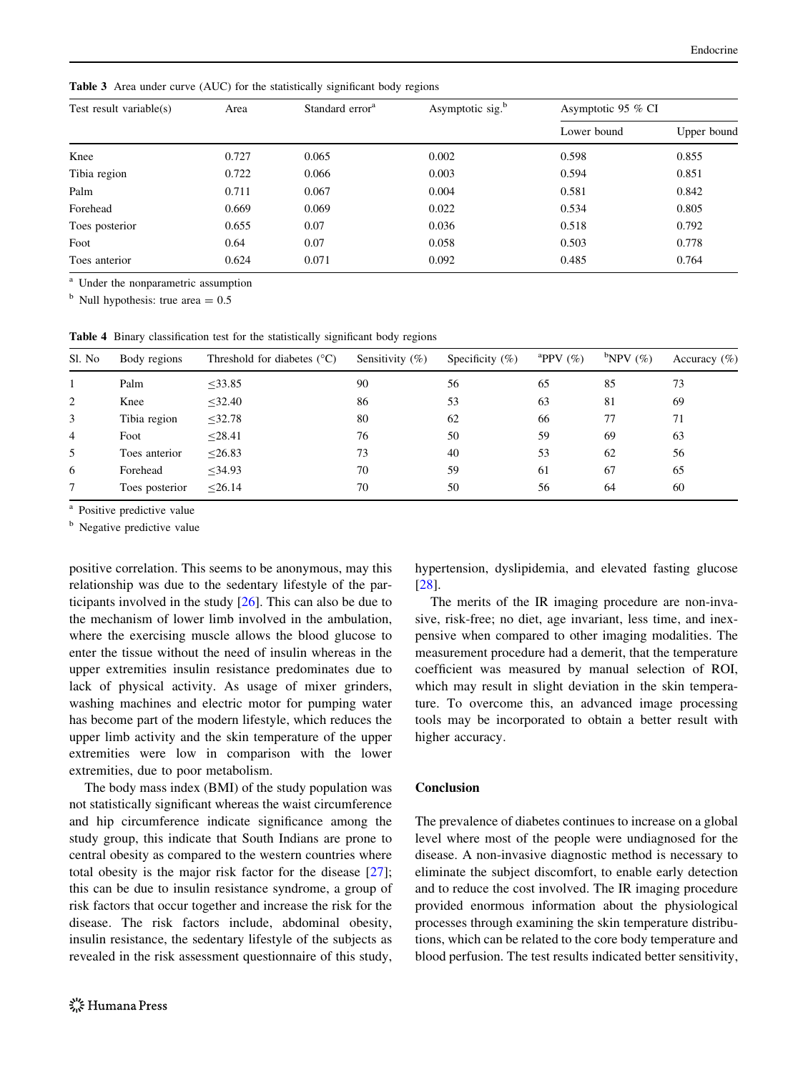<span id="page-7-0"></span>Table 3 Area under curve (AUC) for the statistically significant body regions

| Test result variable(s) | Area  | Standard error <sup>a</sup> | Asymptotic sig. <sup>b</sup> | Asymptotic 95 % CI |             |
|-------------------------|-------|-----------------------------|------------------------------|--------------------|-------------|
|                         |       |                             |                              | Lower bound        | Upper bound |
| Knee                    | 0.727 | 0.065                       | 0.002                        | 0.598              | 0.855       |
| Tibia region            | 0.722 | 0.066                       | 0.003                        | 0.594              | 0.851       |
| Palm                    | 0.711 | 0.067                       | 0.004                        | 0.581              | 0.842       |
| Forehead                | 0.669 | 0.069                       | 0.022                        | 0.534              | 0.805       |
| Toes posterior          | 0.655 | 0.07                        | 0.036                        | 0.518              | 0.792       |
| Foot                    | 0.64  | 0.07                        | 0.058                        | 0.503              | 0.778       |
| Toes anterior           | 0.624 | 0.071                       | 0.092                        | 0.485              | 0.764       |

<sup>a</sup> Under the nonparametric assumption

 $<sup>b</sup>$  Null hypothesis: true area = 0.5</sup>

Table 4 Binary classification test for the statistically significant body regions

| Sl. No         | Body regions   | Threshold for diabetes $(^{\circ}C)$ | Sensitivity $(\%)$ | Specificity $(\%)$ | <sup>a</sup> PPV $(\%)$ | $b$ NPV $(\%)$ | Accuracy $(\%)$ |
|----------------|----------------|--------------------------------------|--------------------|--------------------|-------------------------|----------------|-----------------|
|                | Palm           | $<$ 33.85                            | 90                 | 56                 | 65                      | 85             | 73              |
| 2              | Knee           | $<$ 32.40                            | 86                 | 53                 | 63                      | 81             | 69              |
| 3              | Tibia region   | $\leq$ 32.78                         | 80                 | 62                 | 66                      | 77             | 71              |
| $\overline{4}$ | Foot           | < 28.41                              | 76                 | 50                 | 59                      | 69             | 63              |
| 5              | Toes anterior  | < 26.83                              | 73                 | 40                 | 53                      | 62             | 56              |
| 6              | Forehead       | $<$ 34.93                            | 70                 | 59                 | 61                      | 67             | 65              |
| 7              | Toes posterior | < 26.14                              | 70                 | 50                 | 56                      | 64             | 60              |

<sup>a</sup> Positive predictive value

<sup>b</sup> Negative predictive value

positive correlation. This seems to be anonymous, may this relationship was due to the sedentary lifestyle of the participants involved in the study [\[26](#page-8-0)]. This can also be due to the mechanism of lower limb involved in the ambulation, where the exercising muscle allows the blood glucose to enter the tissue without the need of insulin whereas in the upper extremities insulin resistance predominates due to lack of physical activity. As usage of mixer grinders, washing machines and electric motor for pumping water has become part of the modern lifestyle, which reduces the upper limb activity and the skin temperature of the upper extremities were low in comparison with the lower extremities, due to poor metabolism.

The body mass index (BMI) of the study population was not statistically significant whereas the waist circumference and hip circumference indicate significance among the study group, this indicate that South Indians are prone to central obesity as compared to the western countries where total obesity is the major risk factor for the disease [\[27](#page-8-0)]; this can be due to insulin resistance syndrome, a group of risk factors that occur together and increase the risk for the disease. The risk factors include, abdominal obesity, insulin resistance, the sedentary lifestyle of the subjects as revealed in the risk assessment questionnaire of this study,

hypertension, dyslipidemia, and elevated fasting glucose [\[28](#page-8-0)].

The merits of the IR imaging procedure are non-invasive, risk-free; no diet, age invariant, less time, and inexpensive when compared to other imaging modalities. The measurement procedure had a demerit, that the temperature coefficient was measured by manual selection of ROI, which may result in slight deviation in the skin temperature. To overcome this, an advanced image processing tools may be incorporated to obtain a better result with higher accuracy.

# Conclusion

The prevalence of diabetes continues to increase on a global level where most of the people were undiagnosed for the disease. A non-invasive diagnostic method is necessary to eliminate the subject discomfort, to enable early detection and to reduce the cost involved. The IR imaging procedure provided enormous information about the physiological processes through examining the skin temperature distributions, which can be related to the core body temperature and blood perfusion. The test results indicated better sensitivity,